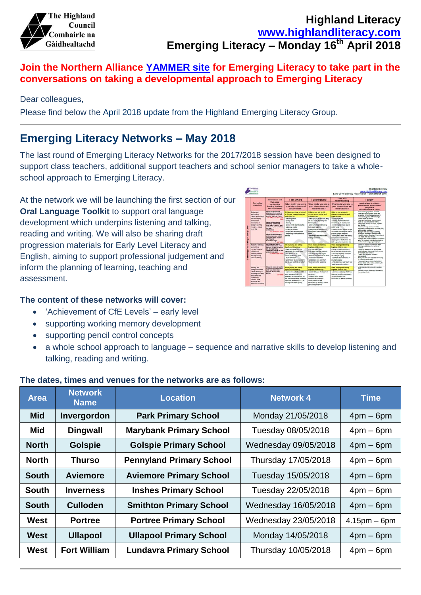

### **Highland Literacy [www.highlandliteracy.com](http://www.highlandliteracy.com/) Emerging Literacy – Monday 16th April 2018**

#### **Join the Northern Alliance [YAMMER site](http://northernalliance.scot/wp-content/uploads/2017/10/Northern-Alliance-RAILLC-YAMMER-INFORMATION.pdf) for Emerging Literacy to take part in the conversations on taking a developmental approach to Emerging Literacy**

#### Dear colleagues,

Please find below the April 2018 update from the Highland Emerging Literacy Group.

### **Emerging Literacy Networks – May 2018**

The last round of Emerging Literacy Networks for the 2017/2018 session have been designed to support class teachers, additional support teachers and school senior managers to take a wholeschool approach to Emerging Literacy.

At the network we will be launching the first section of our **Oral Language Toolkit** to support oral language development which underpins listening and talking, reading and writing. We will also be sharing draft progression materials for Early Level Literacy and English, aiming to support professional judgement and inform the planning of learning, teaching and assessment.

#### **The content of these networks will cover:**

- 'Achievement of CfE Levels' early level
- supporting working memory development
- supporting pencil control concepts
- a whole school approach to language sequence and narrative skills to develop listening and talking, reading and writing.

| <b>Area</b>  | <b>Network</b><br><b>Name</b> | <b>Location</b>                 | <b>Network 4</b>     | Time              |
|--------------|-------------------------------|---------------------------------|----------------------|-------------------|
| <b>Mid</b>   | Invergordon                   | <b>Park Primary School</b>      | Monday 21/05/2018    | $4$ pm $-$ 6pm    |
| Mid          | <b>Dingwall</b>               | <b>Marybank Primary School</b>  | Tuesday 08/05/2018   | $4$ pm $-6$ pm    |
| <b>North</b> | <b>Golspie</b>                | <b>Golspie Primary School</b>   | Wednesday 09/05/2018 | $4$ pm – 6pm      |
| <b>North</b> | Thurso                        | <b>Pennyland Primary School</b> | Thursday 17/05/2018  | $4$ pm $-$ 6pm    |
| <b>South</b> | Aviemore                      | <b>Aviemore Primary School</b>  | Tuesday 15/05/2018   | $4$ pm – 6pm      |
| <b>South</b> | <b>Inverness</b>              | <b>Inshes Primary School</b>    | Tuesday 22/05/2018   | $4$ pm $-$ 6pm    |
| <b>South</b> | <b>Culloden</b>               | <b>Smithton Primary School</b>  | Wednesday 16/05/2018 | $4$ pm – 6pm      |
| West         | <b>Portree</b>                | <b>Portree Primary School</b>   | Wednesday 23/05/2018 | $4.15$ pm $-6$ pm |
| West         | <b>Ullapool</b>               | <b>Ullapool Primary School</b>  | Monday 14/05/2018    | $4$ pm – 6pm      |
| <b>West</b>  | <b>Fort William</b>           | <b>Lundavra Primary School</b>  | Thursday 10/05/2018  | $4pm - 6pm$       |

#### **The dates, times and venues for the networks are as follows:**

|  | Curriculum<br>organisers                                                                                                                                                                                                                                                                                                      | <b>Experiences and</b><br>Outnomes<br>for etamning<br>learning, teaching<br>and accessment                                                                                                                 | I am aware                                                                                                                                                                                                       | I understand                                                                                                                                                                                                                                                                               | I use with<br>understanding                                                                                                                                                                                                                                                                                                                                                           | I apply                                                                                                                                                                                                                                                                                                                                                                                                                                                                                                                                                                                                                                                                                                                                                           |
|--|-------------------------------------------------------------------------------------------------------------------------------------------------------------------------------------------------------------------------------------------------------------------------------------------------------------------------------|------------------------------------------------------------------------------------------------------------------------------------------------------------------------------------------------------------|------------------------------------------------------------------------------------------------------------------------------------------------------------------------------------------------------------------|--------------------------------------------------------------------------------------------------------------------------------------------------------------------------------------------------------------------------------------------------------------------------------------------|---------------------------------------------------------------------------------------------------------------------------------------------------------------------------------------------------------------------------------------------------------------------------------------------------------------------------------------------------------------------------------------|-------------------------------------------------------------------------------------------------------------------------------------------------------------------------------------------------------------------------------------------------------------------------------------------------------------------------------------------------------------------------------------------------------------------------------------------------------------------------------------------------------------------------------------------------------------------------------------------------------------------------------------------------------------------------------------------------------------------------------------------------------------------|
|  |                                                                                                                                                                                                                                                                                                                               |                                                                                                                                                                                                            | What might you see in<br>your interactions and<br>observations?                                                                                                                                                  | What might you see in<br>your interactions and<br>observations?                                                                                                                                                                                                                            | What might you see in<br>your interactions and<br>observations?                                                                                                                                                                                                                                                                                                                       | Benchmarks to support<br>practitioners' professional<br>judgement<br>of achievement of a level                                                                                                                                                                                                                                                                                                                                                                                                                                                                                                                                                                                                                                                                    |
|  | Enjoyment<br>and choice<br>- within a motivating                                                                                                                                                                                                                                                                              | area presentes your<br>pipying with the patterns<br>and pounds of language.<br>and can use what I learn.                                                                                                   | Children may show an interest<br>in rhymax, acoga stories and<br>other texts by:                                                                                                                                 | Children may join in with<br>rhymes, sorves stories and<br>other texts by:                                                                                                                                                                                                                 | <b>Children may engage in</b><br>thuman annoy stories and<br>other faxts by:                                                                                                                                                                                                                                                                                                          | rears and says patterns in words.<br>Ŧ<br>٠<br>hears and says rhymme words and<br>penerates meth a met a greening<br>Heart and says the different shole<br>٠<br>sounds made by letters.<br>Hears and says letter blends/sources<br>٠<br>made by a combination of letters.<br>Participates actively in songs, mymes<br>٠<br>and states.<br>٠<br>Chooses a slory or other texts for<br>enitoment, making use of the couer, this.<br>author and/or Mushleton<br>٠<br>Engrippe with and enjoys watching.<br>reading or follenting to different texts.<br>including attacks, songs and rhymes, and<br>can share likes and dislikes.<br>٠<br>Engages with zipries and texts in different<br>ways, for example, relefingly-enacting<br>stores and/or using puspels/props |
|  | UT601s/UT011s/UT<br>and chiatenging<br><b>Individual</b><br>bra presentery yours !<br>developing an<br>thoosing stores and<br>awareness of the<br>relevance of texts.<br>my than<br><b>16.0% 154</b><br>and decision<br>my thoughts<br>in different ways.                                                                     | 0.56<br>comer search no widows, regad-<br>or hearn zo, and can share<br><b>UIT GREEN / LIT GITSS</b><br>ersoy exploring events<br>and characters in strong<br>and returns and channel.<br><b>LIT GIRNS</b> | watching others<br>- loming cross<br>- digniting<br>- joining in with their favourites.<br>ploking up books<br>- looking at pictures<br>- pizying with puppels/props<br>- responding to environmental<br>sounds. | when you pouge and wait. they<br>will take a turn, repeating the<br><b>Camillar parts</b><br>joining in with and following<br>their peers retelling<br>recognising differences and<br>samkarthes in the way words:<br><b>KOUPUT</b><br>- phopping a favourile text and<br>making commerce. | identifying myme<br>- copying mythms which are<br>modelled by an adult or peer<br>identifying individual sounds<br>within words.<br>retelling familiar themes, songs<br>and stories, induding the use of<br>supports, props and poem.<br>-taking about a text and relating<br>it to personal experiences<br>- Salarya apput the fastures of a<br>lett, e.g. author/ Businator/ title. |                                                                                                                                                                                                                                                                                                                                                                                                                                                                                                                                                                                                                                                                                                                                                                   |
|  | <b>Tools for Ilsiening</b><br>and talkins<br>- to haip me unan<br>imeracting or<br>presenting within<br>and beyond my<br>place of learning                                                                                                                                                                                    | dia / listen and calk m.<br>different situations. I am<br>heartwice to rake surris and<br>are developing my<br>awareness of when so sale.<br>and when as listen.<br>L/T 6-822 / ENG 0-033                  | When playing and talking<br><b>Sopether children may</b>                                                                                                                                                         | when playing and talking<br>fogether children may.                                                                                                                                                                                                                                         | <b>Infrast Discland Lakes</b><br><b>Ingelher</b> children may                                                                                                                                                                                                                                                                                                                         | algees an attempt to take curric when<br>٠<br>intendig and taking in a variety of<br>contexts.<br>٠<br>Makes an attempt to use appropriate<br>body language when itstening to others.<br>for example, eye contact.<br><b>Listens and responds to others</b><br>enargariatea<br>Asks oursitions and responds relevantly<br>۰<br>to questions from others.<br>Pollows and gives simple instructions.<br>٠<br>٠<br>Shares covas with a wider accelence. for<br>example, group or class.                                                                                                                                                                                                                                                                              |
|  |                                                                                                                                                                                                                                                                                                                               |                                                                                                                                                                                                            | - take non-verbal turns e.g.<br>taking their turn on the slide<br>une gesture to aid<br>communication e.g. point.<br>make comments<br>understand 'choice questions'<br>e.g. do you want milk or water?           | talk over each other<br>- falk about their new interests.<br>use body language to cain.<br>attention and communicate ideas.<br><b>Indirection Earl Institute</b><br>- understand and sek 'what'.<br>where: and 'who' questions.                                                            | - follow an instruction within a<br>game and/ or small group play<br>toget of epsignativity as -<br>what they're saying<br>, readytivity that man integer in<br>small group play<br>understand and ask 'when' and<br>what happened' questions.                                                                                                                                        |                                                                                                                                                                                                                                                                                                                                                                                                                                                                                                                                                                                                                                                                                                                                                                   |
|  | I spen or want for opate!<br>Pinding and<br>or makresoma sreprmasters<br>using information<br>and I use this to make<br>- when listening to.<br>choined or learn new<br>inergs.<br>watching and taking<br><b>LITARIA</b><br>about texts with<br>Increasingh<br>complex ideas.<br>singitches and<br><b>Installer telension</b> |                                                                                                                                                                                                            | getitled bins gethalig nartiti<br><b>Ingether children may:</b>                                                                                                                                                  | When playing and talking<br>logaither children may:                                                                                                                                                                                                                                        | minum playing and tuning<br><b>Ingelter children may</b>                                                                                                                                                                                                                                                                                                                              | Dealers of strooms bng streats to dealer<br>٠<br><b>Stiefs</b><br>٠                                                                                                                                                                                                                                                                                                                                                                                                                                                                                                                                                                                                                                                                                               |
|  |                                                                                                                                                                                                                                                                                                                               | - explore new situations while an<br>and taks about them e.g.<br>playing in the shaying foam for<br>the first time whilst the adult uses.<br>untamizar vocabulary Le, "The<br>shaving foam feels squarty." | - accidentally use the incomed.<br><b>VOCABILITY</b><br>respond to the correct<br>modeling of vocabulary<br>show interest in new<br>Information by relating it to their<br>personal experiences.                 | use new yocabulary which they<br>have had repetitive exposure to<br>show interest in new<br>information by asking questions.                                                                                                                                                               | identifies new or interesting information<br>from spoken fax fs.                                                                                                                                                                                                                                                                                                                      |                                                                                                                                                                                                                                                                                                                                                                                                                                                                                                                                                                                                                                                                                                                                                                   |